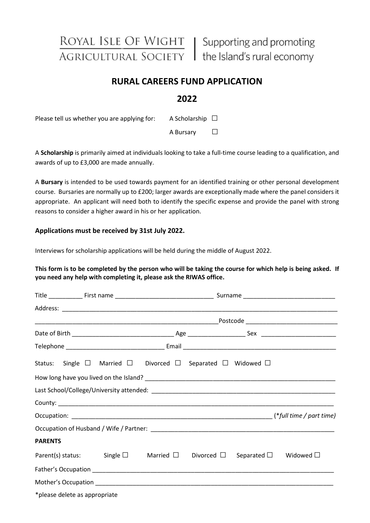ROYAL ISLE OF WIGHT | Supporting and promoting AGRICULTURAL SOCIETY | the Island's rural economy

# **RURAL CAREERS FUND APPLICATION**

## **2022**

Please tell us whether you are applying for: A Scholarship  $\Box$ 

A Bursary □

A **Scholarship** is primarily aimed at individuals looking to take a full-time course leading to a qualification, and awards of up to £3,000 are made annually.

A **Bursary** is intended to be used towards payment for an identified training or other personal development course. Bursaries are normally up to £200; larger awards are exceptionally made where the panel considers it appropriate. An applicant will need both to identify the specific expense and provide the panel with strong reasons to consider a higher award in his or her application.

### **Applications must be received by 31st July 2022.**

Interviews for scholarship applications will be held during the middle of August 2022.

### **This form is to be completed by the person who will be taking the course for which help is being asked. If you need any help with completing it, please ask the RIWAS office.**

|                |                               | Status: Single $\square$ Married $\square$ Divorced $\square$ Separated $\square$ Widowed $\square$           |  |  |  |  |  |  |
|----------------|-------------------------------|---------------------------------------------------------------------------------------------------------------|--|--|--|--|--|--|
|                |                               |                                                                                                               |  |  |  |  |  |  |
|                |                               |                                                                                                               |  |  |  |  |  |  |
|                |                               |                                                                                                               |  |  |  |  |  |  |
|                |                               |                                                                                                               |  |  |  |  |  |  |
|                |                               |                                                                                                               |  |  |  |  |  |  |
| <b>PARENTS</b> |                               |                                                                                                               |  |  |  |  |  |  |
|                |                               | Parent(s) status: Single $\square$ Married $\square$ Divorced $\square$ Separated $\square$ Widowed $\square$ |  |  |  |  |  |  |
|                |                               |                                                                                                               |  |  |  |  |  |  |
|                |                               |                                                                                                               |  |  |  |  |  |  |
|                | *please delete as appropriate |                                                                                                               |  |  |  |  |  |  |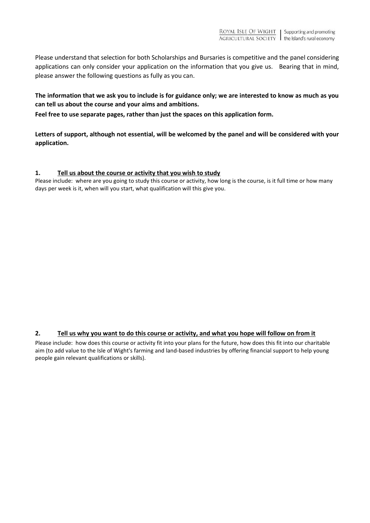Please understand that selection for both Scholarships and Bursaries is competitive and the panel considering applications can only consider your application on the information that you give us. Bearing that in mind, please answer the following questions as fully as you can.

**The information that we ask you to include is for guidance only; we are interested to know as much as you can tell us about the course and your aims and ambitions.** 

**Feel free to use separate pages, rather than just the spaces on this application form.** 

**Letters of support, although not essential, will be welcomed by the panel and will be considered with your application.** 

#### **1. Tell us about the course or activity that you wish to study**

Please include: where are you going to study this course or activity, how long is the course, is it full time or how many days per week is it, when will you start, what qualification will this give you.

### **2. Tell us why you want to do this course or activity, and what you hope will follow on from it**

Please include: how does this course or activity fit into your plans for the future, how does this fit into our charitable aim (to add value to the Isle of Wight's farming and land-based industries by offering financial support to help young people gain relevant qualifications or skills).